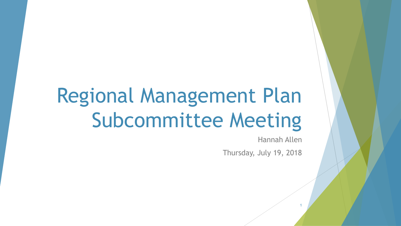# Regional Management Plan Subcommittee Meeting

Hannah Allen

1

Thursday, July 19, 2018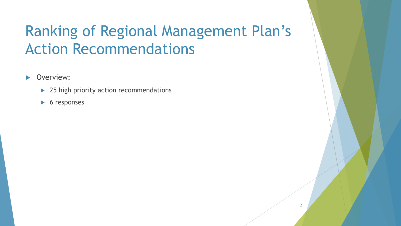## Ranking of Regional Management Plan's Action Recommendations

**D**verview:

- ▶ 25 high priority action recommendations
- $\triangleright$  6 responses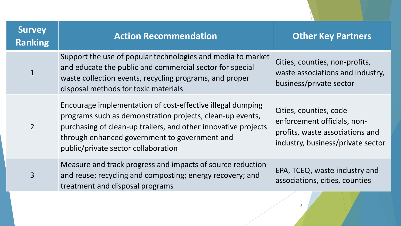| <b>Survey</b><br><b>Ranking</b> | <b>Action Recommendation</b>                                                                                                                                                                                                                                                      | <b>Other Key Partners</b>                                                                                                     |
|---------------------------------|-----------------------------------------------------------------------------------------------------------------------------------------------------------------------------------------------------------------------------------------------------------------------------------|-------------------------------------------------------------------------------------------------------------------------------|
|                                 | Support the use of popular technologies and media to market<br>and educate the public and commercial sector for special<br>waste collection events, recycling programs, and proper<br>disposal methods for toxic materials                                                        | Cities, counties, non-profits,<br>waste associations and industry,<br>business/private sector                                 |
| $\overline{2}$                  | Encourage implementation of cost-effective illegal dumping<br>programs such as demonstration projects, clean-up events,<br>purchasing of clean-up trailers, and other innovative projects<br>through enhanced government to government and<br>public/private sector collaboration | Cities, counties, code<br>enforcement officials, non-<br>profits, waste associations and<br>industry, business/private sector |
| $\overline{3}$                  | Measure and track progress and impacts of source reduction<br>and reuse; recycling and composting; energy recovery; and<br>treatment and disposal programs                                                                                                                        | EPA, TCEQ, waste industry and<br>associations, cities, counties                                                               |
|                                 |                                                                                                                                                                                                                                                                                   |                                                                                                                               |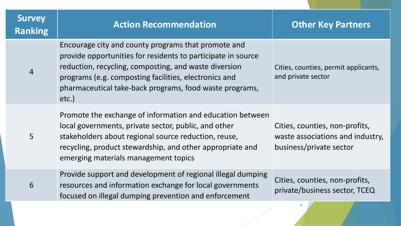| <b>Survey</b><br><b>Ranking</b> | <b>Action Recommendation</b>                                                                                                                                                                                                                                                                                 | <b>Other Key Partners</b>                                                                     |
|---------------------------------|--------------------------------------------------------------------------------------------------------------------------------------------------------------------------------------------------------------------------------------------------------------------------------------------------------------|-----------------------------------------------------------------------------------------------|
| $\overline{4}$                  | Encourage city and county programs that promote and<br>provide opportunities for residents to participate in source<br>reduction, recycling, composting, and waste diversion<br>programs (e.g. composting facilities, electronics and<br>pharmaceutical take-back programs, food waste programs,<br>$etc.$ ) | Cities, counties, permit applicants,<br>and private sector                                    |
| 5                               | Promote the exchange of information and education between<br>local governments, private sector, public, and other<br>stakeholders about regional source reduction, reuse,<br>recycling, product stewardship, and other appropriate and<br>emerging materials management topics                               | Cities, counties, non-profits,<br>waste associations and industry,<br>business/private sector |
| 6                               | Provide support and development of regional illegal dumping<br>resources and information exchange for local governments<br>focused on illegal dumping prevention and enforcement                                                                                                                             | Cities, counties, non-profits,<br>private/business sector, TCEQ                               |
|                                 |                                                                                                                                                                                                                                                                                                              |                                                                                               |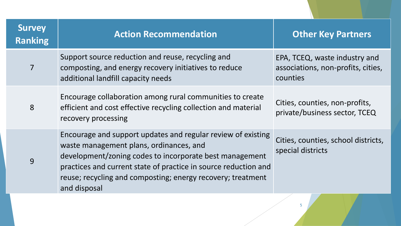| <b>Survey</b><br><b>Ranking</b> | <b>Action Recommendation</b>                                                                                                                                                                                                                                                                                         | <b>Other Key Partners</b>                                                       |
|---------------------------------|----------------------------------------------------------------------------------------------------------------------------------------------------------------------------------------------------------------------------------------------------------------------------------------------------------------------|---------------------------------------------------------------------------------|
| $\overline{7}$                  | Support source reduction and reuse, recycling and<br>composting, and energy recovery initiatives to reduce<br>additional landfill capacity needs                                                                                                                                                                     | EPA, TCEQ, waste industry and<br>associations, non-profits, cities,<br>counties |
| 8                               | Encourage collaboration among rural communities to create<br>efficient and cost effective recycling collection and material<br>recovery processing                                                                                                                                                                   | Cities, counties, non-profits,<br>private/business sector, TCEQ                 |
| 9                               | Encourage and support updates and regular review of existing<br>waste management plans, ordinances, and<br>development/zoning codes to incorporate best management<br>practices and current state of practice in source reduction and<br>reuse; recycling and composting; energy recovery; treatment<br>and disposal | Cities, counties, school districts,<br>special districts                        |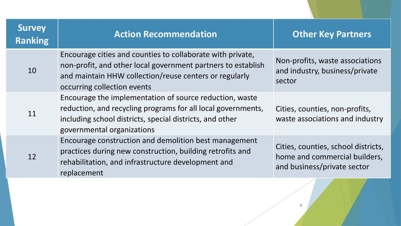| <b>Survey</b><br><b>Ranking</b> | <b>Action Recommendation</b>                                                                                                                                                                                        | <b>Other Key Partners</b>                                                                           |
|---------------------------------|---------------------------------------------------------------------------------------------------------------------------------------------------------------------------------------------------------------------|-----------------------------------------------------------------------------------------------------|
| 10                              | Encourage cities and counties to collaborate with private,<br>non-profit, and other local government partners to establish<br>and maintain HHW collection/reuse centers or regularly<br>occurring collection events | Non-profits, waste associations<br>and industry, business/private<br>sector                         |
| 11                              | Encourage the implementation of source reduction, waste<br>reduction, and recycling programs for all local governments,<br>including school districts, special districts, and other<br>governmental organizations   | Cities, counties, non-profits,<br>waste associations and industry                                   |
| 12                              | Encourage construction and demolition best management<br>practices during new construction, building retrofits and<br>rehabilitation, and infrastructure development and<br>replacement                             | Cities, counties, school districts,<br>home and commercial builders,<br>and business/private sector |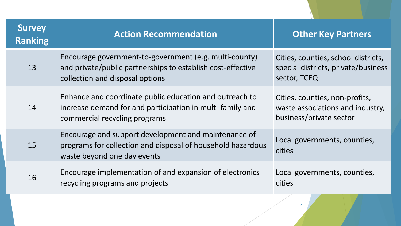| <b>Survey</b><br><b>Ranking</b> | <b>Action Recommendation</b>                                                                                                                             | <b>Other Key Partners</b>                                                                     |
|---------------------------------|----------------------------------------------------------------------------------------------------------------------------------------------------------|-----------------------------------------------------------------------------------------------|
| 13                              | Encourage government-to-government (e.g. multi-county)<br>and private/public partnerships to establish cost-effective<br>collection and disposal options | Cities, counties, school districts,<br>special districts, private/business<br>sector, TCEQ    |
| 14                              | Enhance and coordinate public education and outreach to<br>increase demand for and participation in multi-family and<br>commercial recycling programs    | Cities, counties, non-profits,<br>waste associations and industry,<br>business/private sector |
| 15                              | Encourage and support development and maintenance of<br>programs for collection and disposal of household hazardous<br>waste beyond one day events       | Local governments, counties,<br>cities                                                        |
| 16                              | Encourage implementation of and expansion of electronics<br>recycling programs and projects                                                              | Local governments, counties,<br>cities                                                        |
|                                 |                                                                                                                                                          |                                                                                               |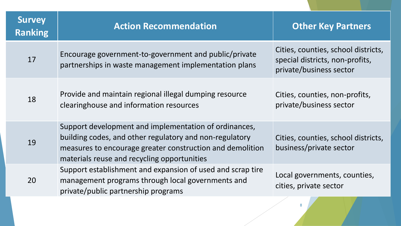| <b>Survey</b><br><b>Ranking</b> | <b>Action Recommendation</b>                                                                                                                                                                                                 | <b>Other Key Partners</b>                                                                         |
|---------------------------------|------------------------------------------------------------------------------------------------------------------------------------------------------------------------------------------------------------------------------|---------------------------------------------------------------------------------------------------|
| 17                              | Encourage government-to-government and public/private<br>partnerships in waste management implementation plans                                                                                                               | Cities, counties, school districts,<br>special districts, non-profits,<br>private/business sector |
| 18                              | Provide and maintain regional illegal dumping resource<br>clearinghouse and information resources                                                                                                                            | Cities, counties, non-profits,<br>private/business sector                                         |
| 19                              | Support development and implementation of ordinances,<br>building codes, and other regulatory and non-regulatory<br>measures to encourage greater construction and demolition<br>materials reuse and recycling opportunities | Cities, counties, school districts,<br>business/private sector                                    |
| 20                              | Support establishment and expansion of used and scrap tire<br>management programs through local governments and<br>private/public partnership programs                                                                       | Local governments, counties,<br>cities, private sector                                            |
|                                 |                                                                                                                                                                                                                              |                                                                                                   |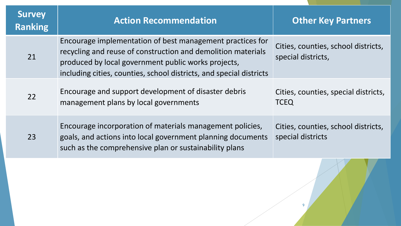| <b>Survey</b><br><b>Ranking</b> | <b>Action Recommendation</b>                                                                                                                                                                                                                            | <b>Other Key Partners</b>                                 |
|---------------------------------|---------------------------------------------------------------------------------------------------------------------------------------------------------------------------------------------------------------------------------------------------------|-----------------------------------------------------------|
| 21                              | Encourage implementation of best management practices for<br>recycling and reuse of construction and demolition materials<br>produced by local government public works projects,<br>including cities, counties, school districts, and special districts | Cities, counties, school districts,<br>special districts, |
| 22                              | Encourage and support development of disaster debris<br>management plans by local governments                                                                                                                                                           | Cities, counties, special districts,<br><b>TCEQ</b>       |
| 23                              | Encourage incorporation of materials management policies,<br>goals, and actions into local government planning documents<br>such as the comprehensive plan or sustainability plans                                                                      | Cities, counties, school districts,<br>special districts  |

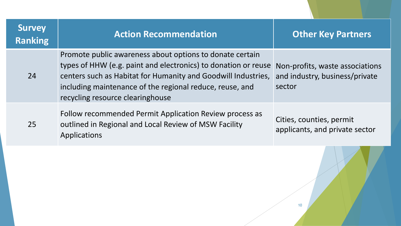| <b>Survey</b><br><b>Ranking</b> | <b>Action Recommendation</b>                                                                                                                                                                                                                                                                | <b>Other Key Partners</b>                                                   |
|---------------------------------|---------------------------------------------------------------------------------------------------------------------------------------------------------------------------------------------------------------------------------------------------------------------------------------------|-----------------------------------------------------------------------------|
| 24                              | Promote public awareness about options to donate certain<br>types of HHW (e.g. paint and electronics) to donation or reuse<br>centers such as Habitat for Humanity and Goodwill Industries,<br>including maintenance of the regional reduce, reuse, and<br>recycling resource clearinghouse | Non-profits, waste associations<br>and industry, business/private<br>sector |
| 25                              | Follow recommended Permit Application Review process as<br>outlined in Regional and Local Review of MSW Facility<br>Applications                                                                                                                                                            | Cities, counties, permit<br>applicants, and private sector                  |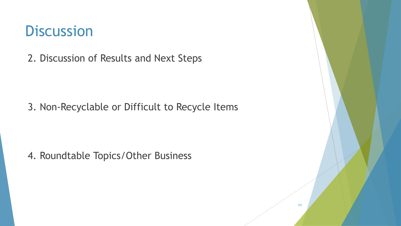#### **Discussion**

2. Discussion of Results and Next Steps

3. Non-Recyclable or Difficult to Recycle Items

4. Roundtable Topics/Other Business

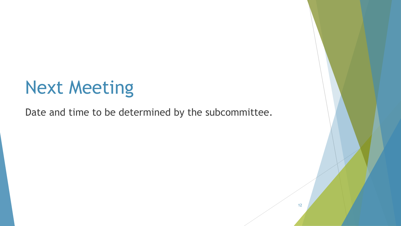# Next Meeting

Date and time to be determined by the subcommittee.